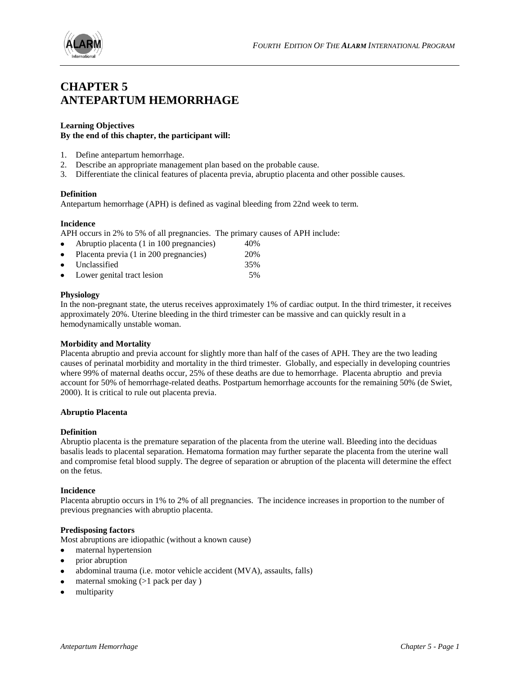

# **CHAPTER 5 ANTEPARTUM HEMORRHAGE**

# **Learning Objectives**

## **By the end of this chapter, the participant will:**

- 1. Define antepartum hemorrhage.
- 2. Describe an appropriate management plan based on the probable cause.
- 3. Differentiate the clinical features of placenta previa, abruptio placenta and other possible causes.

## **Definition**

Antepartum hemorrhage (APH) is defined as vaginal bleeding from 22nd week to term.

## **Incidence**

APH occurs in 2% to 5% of all pregnancies. The primary causes of APH include:

| $\bullet$ | Abruptio placenta (1 in 100 pregnancies) | 40% |
|-----------|------------------------------------------|-----|
| $\bullet$ | Placenta previa (1 in 200 pregnancies)   | 20% |
|           | • Unclassified                           | 35% |
| $\bullet$ | Lower genital tract lesion               | 5%  |

## **Physiology**

In the non-pregnant state, the uterus receives approximately 1% of cardiac output. In the third trimester, it receives approximately 20%. Uterine bleeding in the third trimester can be massive and can quickly result in a hemodynamically unstable woman.

### **Morbidity and Mortality**

Placenta abruptio and previa account for slightly more than half of the cases of APH. They are the two leading causes of perinatal morbidity and mortality in the third trimester. Globally, and especially in developing countries where 99% of maternal deaths occur, 25% of these deaths are due to hemorrhage. Placenta abruptio and previa account for 50% of hemorrhage-related deaths. Postpartum hemorrhage accounts for the remaining 50% (de Swiet, 2000). It is critical to rule out placenta previa.

### **Abruptio Placenta**

### **Definition**

Abruptio placenta is the premature separation of the placenta from the uterine wall. Bleeding into the deciduas basalis leads to placental separation. Hematoma formation may further separate the placenta from the uterine wall and compromise fetal blood supply. The degree of separation or abruption of the placenta will determine the effect on the fetus.

### **Incidence**

Placenta abruptio occurs in 1% to 2% of all pregnancies. The incidence increases in proportion to the number of previous pregnancies with abruptio placenta.

### **Predisposing factors**

Most abruptions are idiopathic (without a known cause)

- maternal hypertension  $\bullet$
- prior abruption
- abdominal trauma (i.e. motor vehicle accident (MVA), assaults, falls)
- maternal smoking (>1 pack per day )
- multiparity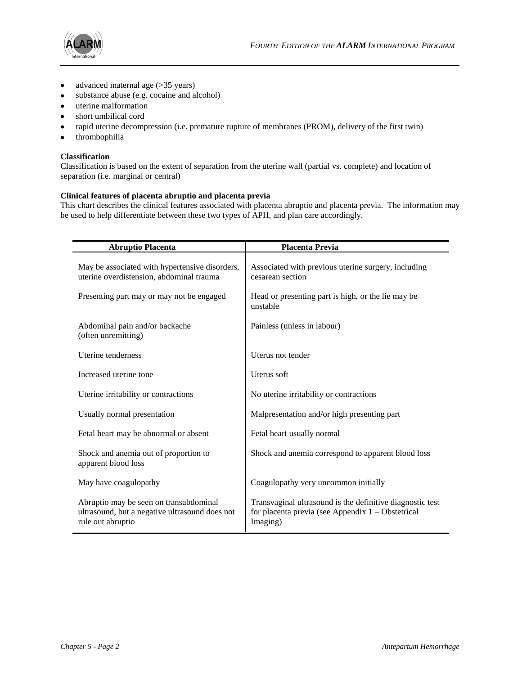

- advanced maternal age (>35 years)
- substance abuse (e.g. cocaine and alcohol)
- uterine malformation
- short umbilical cord
- rapid uterine decompression (i.e. premature rupture of membranes (PROM), delivery of the first twin)
- thrombophilia

# **Classification**

Classification is based on the extent of separation from the uterine wall (partial vs. complete) and location of separation (i.e. marginal or central)

## **Clinical features of placenta abruptio and placenta previa**

This chart describes the clinical features associated with placenta abruptio and placenta previa. The information may be used to help differentiate between these two types of APH, and plan care accordingly.

| <b>Abruptio Placenta</b>                                                                                      | <b>Placenta Previa</b>                                                                                                       |
|---------------------------------------------------------------------------------------------------------------|------------------------------------------------------------------------------------------------------------------------------|
| May be associated with hypertensive disorders,<br>uterine overdistension, abdominal trauma                    | Associated with previous uterine surgery, including<br>cesarean section                                                      |
| Presenting part may or may not be engaged                                                                     | Head or presenting part is high, or the lie may be<br>unstable                                                               |
| Abdominal pain and/or backache<br>(often unremitting)                                                         | Painless (unless in labour)                                                                                                  |
| Uterine tenderness                                                                                            | Uterus not tender                                                                                                            |
| Increased uterine tone                                                                                        | Uterus soft                                                                                                                  |
| Uterine irritability or contractions                                                                          | No uterine irritability or contractions                                                                                      |
| Usually normal presentation                                                                                   | Malpresentation and/or high presenting part                                                                                  |
| Fetal heart may be abnormal or absent                                                                         | Fetal heart usually normal                                                                                                   |
| Shock and anemia out of proportion to<br>apparent blood loss                                                  | Shock and anemia correspond to apparent blood loss                                                                           |
| May have coagulopathy                                                                                         | Coagulopathy very uncommon initially                                                                                         |
| Abruptio may be seen on transabdominal<br>ultrasound, but a negative ultrasound does not<br>rule out abruptio | Transvaginal ultrasound is the definitive diagnostic test<br>for placenta previa (see Appendix $1 -$ Obstetrical<br>Imaging) |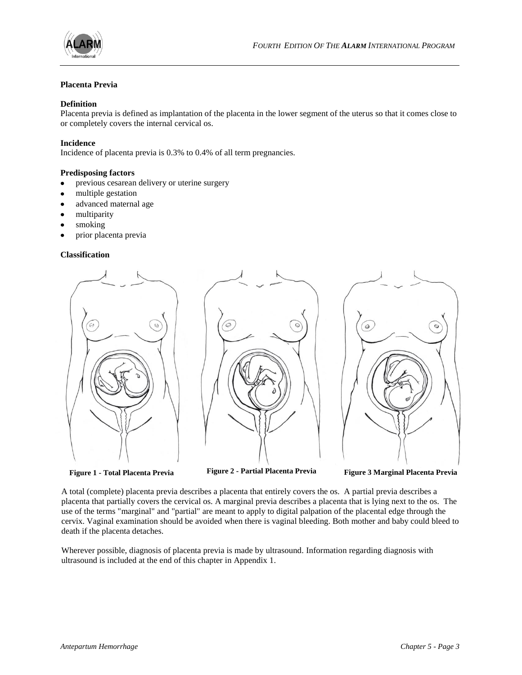

## **Placenta Previa**

## **Definition**

Placenta previa is defined as implantation of the placenta in the lower segment of the uterus so that it comes close to or completely covers the internal cervical os.

## **Incidence**

Incidence of placenta previa is 0.3% to 0.4% of all term pregnancies.

## **Predisposing factors**

- previous cesarean delivery or uterine surgery
- multiple gestation
- advanced maternal age
- multiparity
- smoking
- prior placenta previa

### **Classification**



**Figure 1 - Total Placenta Previa Figure 2 - Partial Placenta Previa Figure 3 Marginal Placenta Previa**

A total (complete) placenta previa describes a placenta that entirely covers the os. A partial previa describes a placenta that partially covers the cervical os. A marginal previa describes a placenta that is lying next to the os. The use of the terms "marginal" and "partial" are meant to apply to digital palpation of the placental edge through the cervix. Vaginal examination should be avoided when there is vaginal bleeding. Both mother and baby could bleed to death if the placenta detaches.

Wherever possible, diagnosis of placenta previa is made by ultrasound. Information regarding diagnosis with ultrasound is included at the end of this chapter in Appendix 1.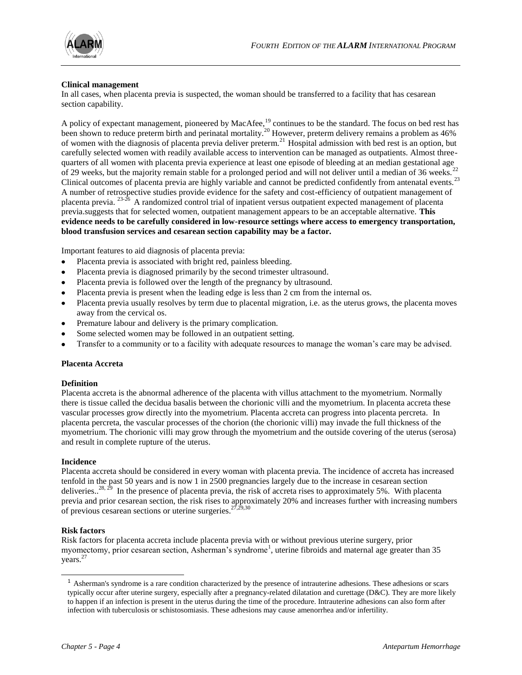

## **Clinical management**

In all cases, when placenta previa is suspected, the woman should be transferred to a facility that has cesarean section capability.

A policy of expectant management, pioneered by MacAfee,<sup>19</sup> continues to be the standard. The focus on bed rest has been shown to reduce preterm birth and perinatal mortality.<sup>20</sup> However, preterm delivery remains a problem as 46% of women with the diagnosis of placenta previa deliver preterm.<sup>21</sup> Hospital admission with bed rest is an option, but carefully selected women with readily available access to intervention can be managed as outpatients. Almost threequarters of all women with placenta previa experience at least one episode of bleeding at an median gestational age<br>quarters of all women with placenta previa experience at least one episode of bleeding at an median gestat of 29 weeks, but the majority remain stable for a prolonged period and will not deliver until a median of 36 weeks.<sup>22</sup> Clinical outcomes of placenta previa are highly variable and cannot be predicted confidently from antenatal events.<sup>23</sup> A number of retrospective studies provide evidence for the safety and cost-efficiency of outpatient management of placenta previa. <sup>23-26</sup> A randomized control trial of inpatient versus outpatient expected management of placenta previa.suggests that for selected women, outpatient management appears to be an acceptable alternative. **This evidence needs to be carefully considered in low-resource settings where access to emergency transportation, blood transfusion services and cesarean section capability may be a factor.** 

Important features to aid diagnosis of placenta previa:

- Placenta previa is associated with bright red, painless bleeding.
- Placenta previa is diagnosed primarily by the second trimester ultrasound.
- Placenta previa is followed over the length of the pregnancy by ultrasound.
- Placenta previa is present when the leading edge is less than 2 cm from the internal os.
- Placenta previa usually resolves by term due to placental migration, i.e. as the uterus grows, the placenta moves away from the cervical os.
- Premature labour and delivery is the primary complication.
- Some selected women may be followed in an outpatient setting.
- Transfer to a community or to a facility with adequate resources to manage the woman's care may be advised.

### **Placenta Accreta**

### **Definition**

Placenta accreta is the abnormal adherence of the placenta with villus attachment to the myometrium. Normally there is tissue called the decidua basalis between the chorionic villi and the myometrium. In placenta accreta these vascular processes grow directly into the myometrium. Placenta accreta can progress into placenta percreta. In placenta percreta, the vascular processes of the chorion (the chorionic villi) may invade the full thickness of the myometrium. The chorionic villi may grow through the myometrium and the outside covering of the uterus (serosa) and result in complete rupture of the uterus.

### **Incidence**

Placenta accreta should be considered in every woman with placenta previa. The incidence of accreta has increased tenfold in the past 50 years and is now 1 in 2500 pregnancies largely due to the increase in cesarean section deliveries..<sup>28, 29</sup> In the presence of placenta previa, the risk of accreta rises to approximately 5%. With placenta previa and prior cesarean section, the risk rises to approximately 20% and increases further with increasing numbers of previous cesarean sections or uterine surgeries.<sup>27,29,30</sup>

### **Risk factors**

 $\overline{a}$ 

Risk factors for placenta accreta include placenta previa with or without previous uterine surgery, prior myomectomy, prior cesarean section, Asherman's syndrome<sup>1</sup>, uterine fibroids and maternal age greater than 35 years.<sup>27</sup>

<sup>&</sup>lt;sup>1</sup> Asherman's syndrome is a rare condition characterized by the presence of intrauterin[e adhesions.](http://health.allrefer.com/health/adhesion-info.html) These adhesions or scars typically occur after uterine surgery, especially after a pregnancy-related [dilatation and curettage](http://health.allrefer.com/health/d-and-c-info.html) [\(D&C\)](http://health.allrefer.com/health/d-and-c-info.html). They are more likely to happen if an infection is present in the uterus during the time of the procedure. Intrauterine adhesions can also form after infection with tuberculosis or schistosomiasis. These adhesions may cause [amenorrhea](http://health.allrefer.com/health/menstruation-absent-info.html) and/o[r infertility.](http://health.allrefer.com/health/ashermans-syndrome-info.html##)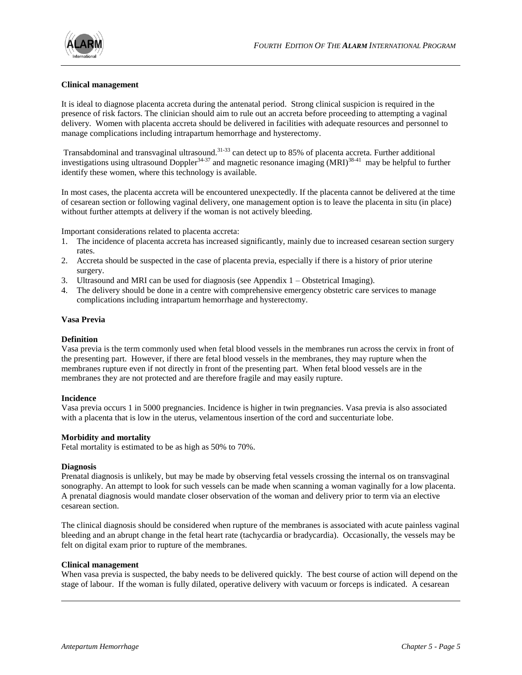

## **Clinical management**

It is ideal to diagnose placenta accreta during the antenatal period. Strong clinical suspicion is required in the presence of risk factors. The clinician should aim to rule out an accreta before proceeding to attempting a vaginal delivery. Women with placenta accreta should be delivered in facilities with adequate resources and personnel to manage complications including intrapartum hemorrhage and hysterectomy.

Transabdominal and transvaginal ultrasound.31-33 can detect up to 85% of placenta accreta. Further additional investigations using ultrasound Doppler<sup>34-37</sup> and magnetic resonance imaging  $(MRI)^{38-41}$  may be helpful to further identify these women, where this technology is available.

In most cases, the placenta accreta will be encountered unexpectedly. If the placenta cannot be delivered at the time of cesarean section or following vaginal delivery, one management option is to leave the placenta in situ (in place) without further attempts at delivery if the woman is not actively bleeding.

Important considerations related to placenta accreta:

- 1. The incidence of placenta accreta has increased significantly, mainly due to increased cesarean section surgery rates.
- 2. Accreta should be suspected in the case of placenta previa, especially if there is a history of prior uterine surgery.
- 3. Ultrasound and MRI can be used for diagnosis (see Appendix 1 Obstetrical Imaging).
- 4. The delivery should be done in a centre with comprehensive emergency obstetric care services to manage complications including intrapartum hemorrhage and hysterectomy.

#### **Vasa Previa**

#### **Definition**

Vasa previa is the term commonly used when fetal blood vessels in the membranes run across the cervix in front of the presenting part. However, if there are fetal blood vessels in the membranes, they may rupture when the membranes rupture even if not directly in front of the presenting part. When fetal blood vessels are in the membranes they are not protected and are therefore fragile and may easily rupture.

#### **Incidence**

Vasa previa occurs 1 in 5000 pregnancies. Incidence is higher in twin pregnancies. Vasa previa is also associated with a placenta that is low in the uterus, velamentous insertion of the cord and succenturiate lobe.

#### **Morbidity and mortality**

Fetal mortality is estimated to be as high as 50% to 70%.

#### **Diagnosis**

 $\overline{a}$ 

Prenatal diagnosis is unlikely, but may be made by observing fetal vessels crossing the internal os on transvaginal sonography. An attempt to look for such vessels can be made when scanning a woman vaginally for a low placenta. A prenatal diagnosis would mandate closer observation of the woman and delivery prior to term via an elective cesarean section.

The clinical diagnosis should be considered when rupture of the membranes is associated with acute painless vaginal bleeding and an abrupt change in the fetal heart rate (tachycardia or bradycardia). Occasionally, the vessels may be felt on digital exam prior to rupture of the membranes.

#### **Clinical management**

When vasa previa is suspected, the baby needs to be delivered quickly. The best course of action will depend on the stage of labour. If the woman is fully dilated, operative delivery with vacuum or forceps is indicated. A cesarean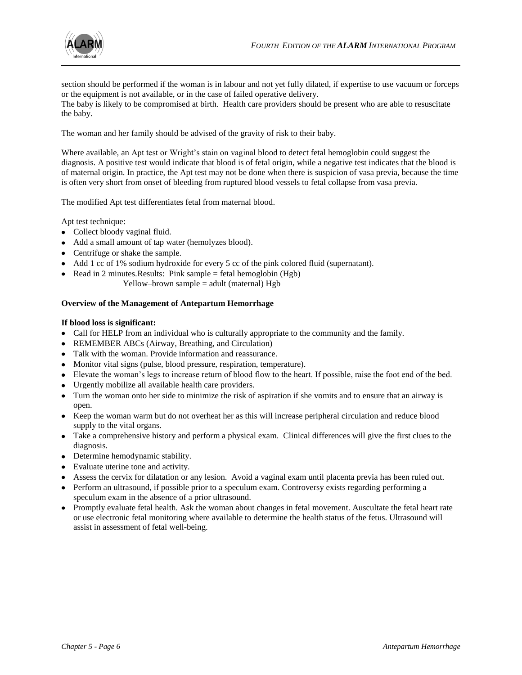

section should be performed if the woman is in labour and not yet fully dilated, if expertise to use vacuum or forceps or the equipment is not available, or in the case of failed operative delivery.

The baby is likely to be compromised at birth. Health care providers should be present who are able to resuscitate the baby.

The woman and her family should be advised of the gravity of risk to their baby.

Where available, an Apt test or Wright's stain on vaginal blood to detect fetal hemoglobin could suggest the diagnosis. A positive test would indicate that blood is of fetal origin, while a negative test indicates that the blood is of maternal origin. In practice, the Apt test may not be done when there is suspicion of vasa previa, because the time is often very short from onset of bleeding from ruptured blood vessels to fetal collapse from vasa previa.

The modified Apt test differentiates fetal from maternal blood.

Apt test technique:

- Collect bloody vaginal fluid.
- Add a small amount of tap water (hemolyzes blood).
- Centrifuge or shake the sample.
- Add 1 cc of 1% sodium hydroxide for every 5 cc of the pink colored fluid (supernatant).
- Read in 2 minutes. Results: Pink sample  $=$  fetal hemoglobin (Hgb)
	- Yellow–brown sample = adult (maternal) Hgb

### **Overview of the Management of Antepartum Hemorrhage**

## **If blood loss is significant:**

- Call for HELP from an individual who is culturally appropriate to the community and the family.
- REMEMBER ABCs (Airway, Breathing, and Circulation)
- Talk with the woman. Provide information and reassurance.
- Monitor vital signs (pulse, blood pressure, respiration, temperature).
- Elevate the woman's legs to increase return of blood flow to the heart. If possible, raise the foot end of the bed.
- Urgently mobilize all available health care providers.
- Turn the woman onto her side to minimize the risk of aspiration if she vomits and to ensure that an airway is open.
- Keep the woman warm but do not overheat her as this will increase peripheral circulation and reduce blood supply to the vital organs.
- Take a comprehensive history and perform a physical exam. Clinical differences will give the first clues to the diagnosis.
- Determine hemodynamic stability.
- Evaluate uterine tone and activity.
- Assess the cervix for dilatation or any lesion. Avoid a vaginal exam until placenta previa has been ruled out.
- Perform an ultrasound, if possible prior to a speculum exam. Controversy exists regarding performing a speculum exam in the absence of a prior ultrasound.
- Promptly evaluate fetal health. Ask the woman about changes in fetal movement. Auscultate the fetal heart rate or use electronic fetal monitoring where available to determine the health status of the fetus. Ultrasound will assist in assessment of fetal well-being.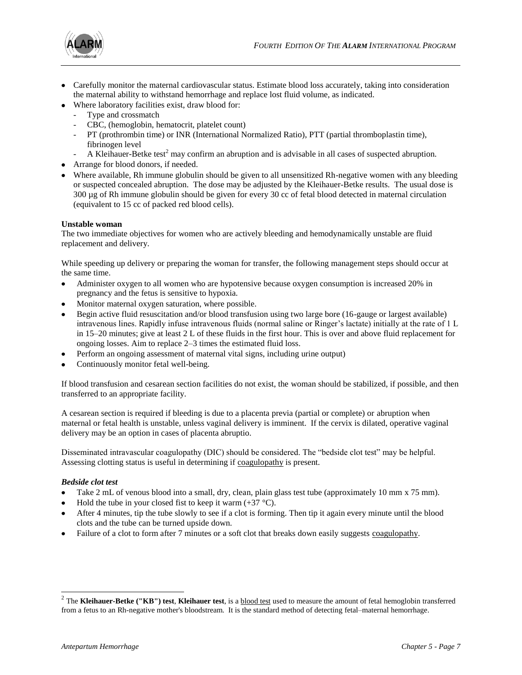

- Carefully monitor the maternal cardiovascular status. Estimate blood loss accurately, taking into consideration the maternal ability to withstand hemorrhage and replace lost fluid volume, as indicated.
- Where laboratory facilities exist, draw blood for:
	- Type and crossmatch
	- CBC, (hemoglobin, hematocrit, platelet count)
	- PT (prothrombin time) or INR (International Normalized Ratio), PTT (partial thromboplastin time), fibrinogen level
	- A Kleihauer-Betke test<sup>2</sup> may confirm an abruption and is advisable in all cases of suspected abruption.
- Arrange for blood donors, if needed.
- Where available, Rh immune globulin should be given to all unsensitized Rh-negative women with any bleeding or suspected concealed abruption. The dose may be adjusted by the Kleihauer-Betke results. The usual dose is 300 µg of Rh immune globulin should be given for every 30 cc of fetal blood detected in maternal circulation (equivalent to 15 cc of packed red blood cells).

## **Unstable woman**

The two immediate objectives for women who are actively bleeding and hemodynamically unstable are fluid replacement and delivery.

While speeding up delivery or preparing the woman for transfer, the following management steps should occur at the same time.

- Administer oxygen to all women who are hypotensive because oxygen consumption is increased 20% in pregnancy and the fetus is sensitive to hypoxia.
- Monitor maternal oxygen saturation, where possible.
- Begin active fluid resuscitation and/or blood transfusion using two large bore (16-gauge or largest available) intravenous lines. Rapidly infuse intravenous fluids (normal saline or Ringer's lactate) initially at the rate of 1 L in 15–20 minutes; give at least 2 L of these fluids in the first hour. This is over and above fluid replacement for ongoing losses. Aim to replace 2–3 times the estimated fluid loss.
- Perform an ongoing assessment of maternal vital signs, including urine output)
- Continuously monitor fetal well-being.

If blood transfusion and cesarean section facilities do not exist, the woman should be stabilized, if possible, and then transferred to an appropriate facility.

A cesarean section is required if bleeding is due to a placenta previa (partial or complete) or abruption when maternal or fetal health is unstable, unless vaginal delivery is imminent. If the cervix is dilated, operative vaginal delivery may be an option in cases of placenta abruptio.

Disseminated intravascular coagulopathy (DIC) should be considered. The "bedside clot test" may be helpful. Assessing clotting status is useful in determining i[f coagulopathy](http://www.who.int/reproductive-health/impac/Symptoms/Vaginal_bleeding_later_S17_S23.html#S19 Coagulopathy) is present.

## *Bedside clot test*

- Take 2 mL of venous blood into a small, dry, clean, plain glass test tube (approximately 10 mm x 75 mm).
- Hold the tube in your closed fist to keep it warm  $(+37 \degree C)$ .
- After 4 minutes, tip the tube slowly to see if a clot is forming. Then tip it again every minute until the blood  $\bullet$ clots and the tube can be turned upside down.
- Failure of a clot to form after 7 minutes or a soft clot that breaks down easily suggests [coagulopathy.](http://www.who.int/reproductive-health/impac/Symptoms/Vaginal_bleeding_later_S17_S23.html#S19 Coagulopathy)

 2 The **Kleihauer-Betke ("KB") test**, **Kleihauer test**, is [a blood test](http://www.answers.com/topic/blood-test) used to measure the amount of fetal hemoglobin transferred from a fetus to an Rh-negative mother's bloodstream. It is the standard method of detecting fetal–maternal hemorrhage.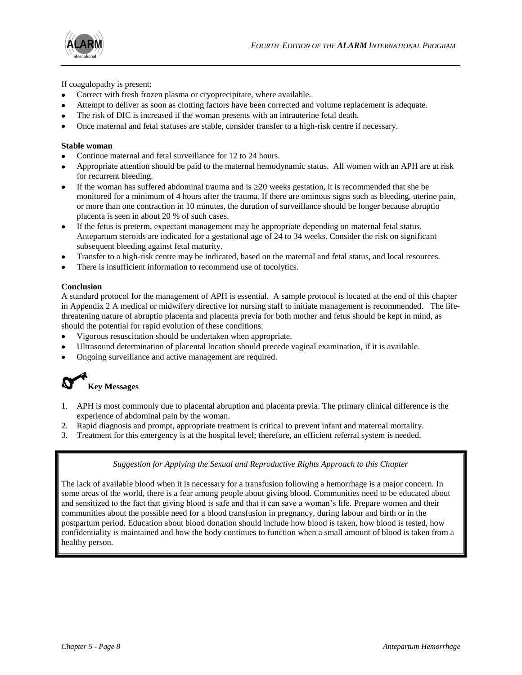

If coagulopathy is present:

- Correct with fresh frozen plasma or cryoprecipitate, where available.
- Attempt to deliver as soon as clotting factors have been corrected and volume replacement is adequate.
- The risk of DIC is increased if the woman presents with an intrauterine fetal death.
- Once maternal and fetal statuses are stable, consider transfer to a high-risk centre if necessary.

## **Stable woman**

- Continue maternal and fetal surveillance for 12 to 24 hours.
- Appropriate attention should be paid to the maternal hemodynamic status. All women with an APH are at risk for recurrent bleeding.
- If the woman has suffered abdominal trauma and is  $\geq$  20 weeks gestation, it is recommended that she be monitored for a minimum of 4 hours after the trauma. If there are ominous signs such as bleeding, uterine pain, or more than one contraction in 10 minutes, the duration of surveillance should be longer because abruptio placenta is seen in about 20 % of such cases.
- If the fetus is preterm, expectant management may be appropriate depending on maternal fetal status. Antepartum steroids are indicated for a gestational age of 24 to 34 weeks. Consider the risk on significant subsequent bleeding against fetal maturity.
- Transfer to a high-risk centre may be indicated, based on the maternal and fetal status, and local resources.
- There is insufficient information to recommend use of tocolytics.

## **Conclusion**

A standard protocol for the management of APH is essential. A sample protocol is located at the end of this chapter in Appendix 2 A medical or midwifery directive for nursing staff to initiate management is recommended*.* The lifethreatening nature of abruptio placenta and placenta previa for both mother and fetus should be kept in mind, as should the potential for rapid evolution of these conditions.

- Vigorous resuscitation should be undertaken when appropriate.
- Ultrasound determination of placental location should precede vaginal examination, if it is available.
- Ongoing surveillance and active management are required.



- 1. APH is most commonly due to placental abruption and placenta previa. The primary clinical difference is the experience of abdominal pain by the woman.
- 2. Rapid diagnosis and prompt, appropriate treatment is critical to prevent infant and maternal mortality.
- 3. Treatment for this emergency is at the hospital level; therefore, an efficient referral system is needed.

## *Suggestion for Applying the Sexual and Reproductive Rights Approach to this Chapter*

The lack of available blood when it is necessary for a transfusion following a hemorrhage is a major concern. In some areas of the world, there is a fear among people about giving blood. Communities need to be educated about and sensitized to the fact that giving blood is safe and that it can save a woman's life. Prepare women and their communities about the possible need for a blood transfusion in pregnancy, during labour and birth or in the postpartum period. Education about blood donation should include how blood is taken, how blood is tested, how confidentiality is maintained and how the body continues to function when a small amount of blood is taken from a healthy person.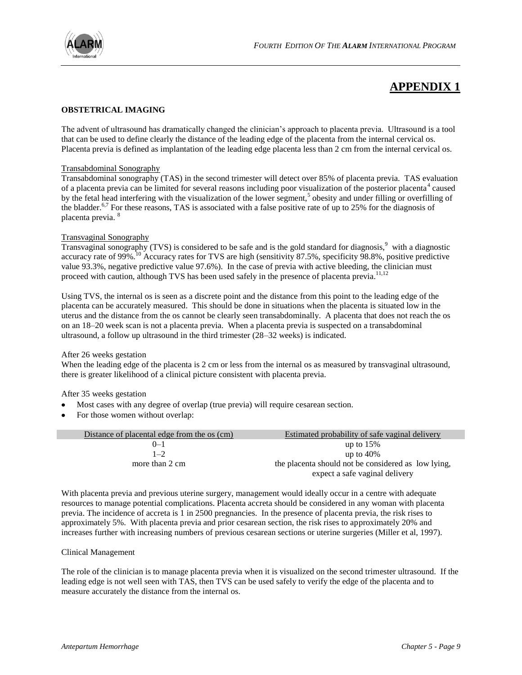

# **APPENDIX 1**

## **OBSTETRICAL IMAGING**

The advent of ultrasound has dramatically changed the clinician's approach to placenta previa. Ultrasound is a tool that can be used to define clearly the distance of the leading edge of the placenta from the internal cervical os. Placenta previa is defined as implantation of the leading edge placenta less than 2 cm from the internal cervical os.

## Transabdominal Sonography

Transabdominal sonography (TAS) in the second trimester will detect over 85% of placenta previa. TAS evaluation of a placenta previa can be limited for several reasons including poor visualization of the posterior placenta<sup>4</sup> caused by the fetal head interfering with the visualization of the lower segment,<sup>5</sup> obesity and under filling or overfilling of the bladder.<sup>6,7</sup> For these reasons, TAS is associated with a false positive rate of up to 25% for the diagnosis of placenta previa. <sup>8</sup>

### Transvaginal Sonography

Transvaginal sonography (TVS) is considered to be safe and is the gold standard for diagnosis, $9$  with a diagnostic accuracy rate of 99%.<sup>10</sup> Accuracy rates for TVS are high (sensitivity 87.5%, specificity 98.8%, positive predictive value 93.3%, negative predictive value 97.6%). In the case of previa with active bleeding, the clinician must proceed with caution, although TVS has been used safely in the presence of placenta previa.<sup>11,12</sup>

Using TVS, the internal os is seen as a discrete point and the distance from this point to the leading edge of the placenta can be accurately measured. This should be done in situations when the placenta is situated low in the uterus and the distance from the os cannot be clearly seen transabdominally. A placenta that does not reach the os on an 18–20 week scan is not a placenta previa. When a placenta previa is suspected on a transabdominal ultrasound, a follow up ultrasound in the third trimester (28–32 weeks) is indicated.

### After 26 weeks gestation

When the leading edge of the placenta is 2 cm or less from the internal os as measured by transvaginal ultrasound, there is greater likelihood of a clinical picture consistent with placenta previa.

After 35 weeks gestation

- Most cases with any degree of overlap (true previa) will require cesarean section.
- For those women without overlap:

| Distance of placental edge from the os (cm) | Estimated probability of safe vaginal delivery      |  |
|---------------------------------------------|-----------------------------------------------------|--|
| $()$ -1                                     | up to $15%$                                         |  |
| $1 - 2$                                     | up to $40\%$                                        |  |
| more than 2 cm                              | the placenta should not be considered as low lying, |  |
|                                             | expect a safe vaginal delivery                      |  |

With placenta previa and previous uterine surgery, management would ideally occur in a centre with adequate resources to manage potential complications. Placenta accreta should be considered in any woman with placenta previa. The incidence of accreta is 1 in 2500 pregnancies. In the presence of placenta previa, the risk rises to approximately 5%. With placenta previa and prior cesarean section, the risk rises to approximately 20% and increases further with increasing numbers of previous cesarean sections or uterine surgeries (Miller et al, 1997).

### Clinical Management

The role of the clinician is to manage placenta previa when it is visualized on the second trimester ultrasound. If the leading edge is not well seen with TAS, then TVS can be used safely to verify the edge of the placenta and to measure accurately the distance from the internal os.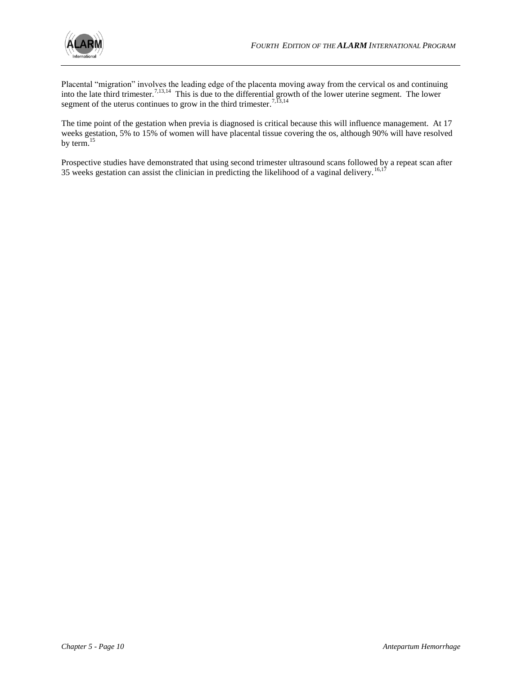Placental "migration" involves the leading edge of the placenta moving away from the cervical os and continuing into the late third trimester.<sup>7,13,14</sup> This is due to the differential growth of the lower uterine segment. The lower segment of the uterus continues to grow in the third trimester.<sup>7, $\overline{13,14}$ </sup>

The time point of the gestation when previa is diagnosed is critical because this will influence management. At 17 weeks gestation, 5% to 15% of women will have placental tissue covering the os, although 90% will have resolved by term.<sup>15</sup>

Prospective studies have demonstrated that using second trimester ultrasound scans followed by a repeat scan after 35 weeks gestation can assist the clinician in predicting the likelihood of a vaginal delivery.<sup>16,17</sup>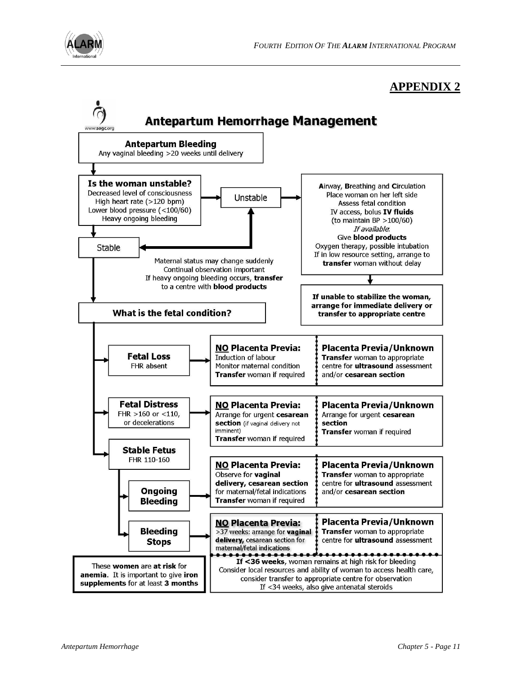

# **APPENDIX 2**